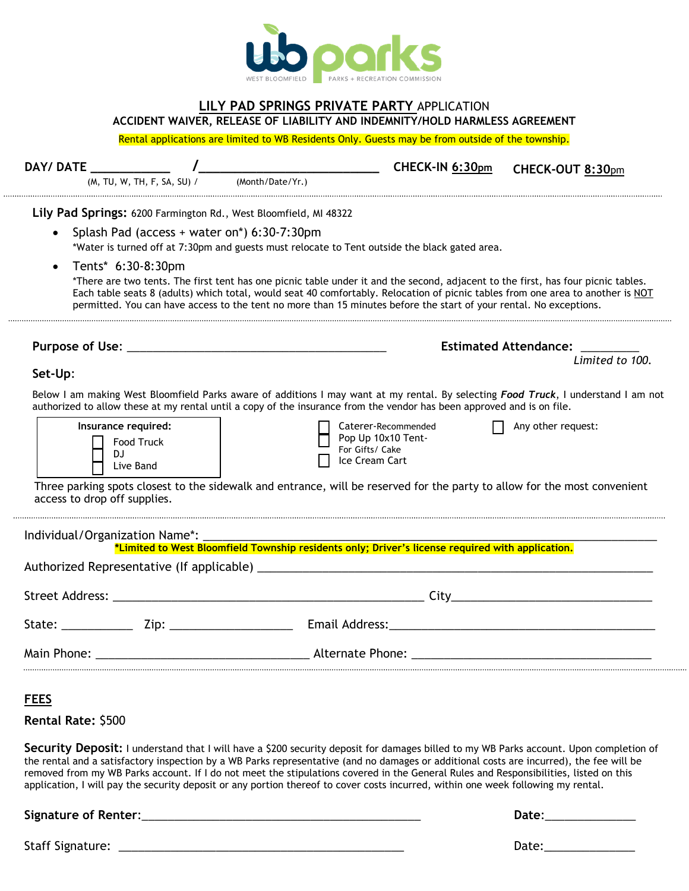

## **LILY PAD SPRINGS PRIVATE PARTY** APPLICATION **ACCIDENT WAIVER, RELEASE OF LIABILITY AND INDEMNITY/HOLD HARMLESS AGREEMENT**

Rental applications are limited to WB Residents Only. Guests may be from outside of the township.

| (M, TU, W, TH, F, SA, SU) /                                                          | (Month/Date/Yr.)                                                                                                                                                                                                                                                                                                                                                                           |                                                                                |                    |
|--------------------------------------------------------------------------------------|--------------------------------------------------------------------------------------------------------------------------------------------------------------------------------------------------------------------------------------------------------------------------------------------------------------------------------------------------------------------------------------------|--------------------------------------------------------------------------------|--------------------|
|                                                                                      | Lily Pad Springs: 6200 Farmington Rd., West Bloomfield, MI 48322                                                                                                                                                                                                                                                                                                                           |                                                                                |                    |
|                                                                                      | Splash Pad (access + water on*) 6:30-7:30pm                                                                                                                                                                                                                                                                                                                                                |                                                                                |                    |
|                                                                                      | *Water is turned off at 7:30pm and guests must relocate to Tent outside the black gated area.                                                                                                                                                                                                                                                                                              |                                                                                |                    |
| Tents* 6:30-8:30pm                                                                   |                                                                                                                                                                                                                                                                                                                                                                                            |                                                                                |                    |
|                                                                                      | *There are two tents. The first tent has one picnic table under it and the second, adjacent to the first, has four picnic tables.<br>Each table seats 8 (adults) which total, would seat 40 comfortably. Relocation of picnic tables from one area to another is NOT<br>permitted. You can have access to the tent no more than 15 minutes before the start of your rental. No exceptions. |                                                                                |                    |
|                                                                                      |                                                                                                                                                                                                                                                                                                                                                                                            | <b>Estimated Attendance:</b>                                                   |                    |
| Set-Up:                                                                              |                                                                                                                                                                                                                                                                                                                                                                                            |                                                                                | Limited to 100.    |
| Insurance required:<br>Food Truck<br>DJ<br>Live Band<br>access to drop off supplies. | Three parking spots closest to the sidewalk and entrance, will be reserved for the party to allow for the most convenient                                                                                                                                                                                                                                                                  | Caterer-Recommended<br>Pop Up 10x10 Tent-<br>For Gifts/ Cake<br>Ice Cream Cart | Any other request: |
|                                                                                      | *Limited to West Bloomfield Township residents only; Driver's license required with application.                                                                                                                                                                                                                                                                                           |                                                                                |                    |
|                                                                                      |                                                                                                                                                                                                                                                                                                                                                                                            |                                                                                |                    |
| Individual/Organization Name*:                                                       |                                                                                                                                                                                                                                                                                                                                                                                            |                                                                                |                    |
|                                                                                      |                                                                                                                                                                                                                                                                                                                                                                                            |                                                                                |                    |
| Main Phone:                                                                          |                                                                                                                                                                                                                                                                                                                                                                                            | Alternate Phone:                                                               |                    |
|                                                                                      |                                                                                                                                                                                                                                                                                                                                                                                            |                                                                                |                    |
| <b>FEES</b>                                                                          |                                                                                                                                                                                                                                                                                                                                                                                            |                                                                                |                    |

removed from my WB Parks account. If I do not meet the stipulations covered in the General Rules and Responsibilities, listed on this application, I will pay the security deposit or any portion thereof to cover costs incurred, within one week following my rental.

**Signature of Renter**:\_\_\_\_\_\_\_\_\_\_\_\_\_\_\_\_\_\_\_\_\_\_\_\_\_\_\_\_\_\_\_\_\_\_\_\_\_\_\_\_\_\_\_ **Date**:\_\_\_\_\_\_\_\_\_\_\_\_\_\_

Staff Signature: \_\_\_\_\_\_\_\_\_\_\_\_\_\_\_\_\_\_\_\_\_\_\_\_\_\_\_\_\_\_\_\_\_\_\_\_\_\_\_\_\_\_\_\_ Date:\_\_\_\_\_\_\_\_\_\_\_\_\_\_